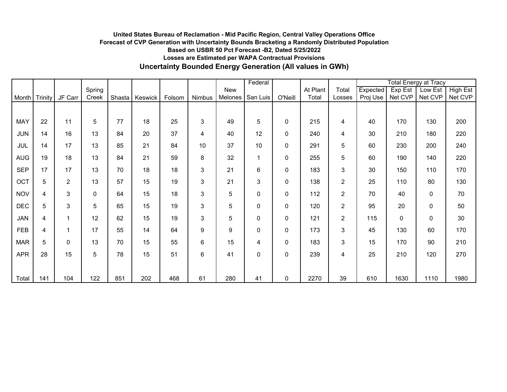### **Uncertainty Bounded Energy Generation (All values in GWh) United States Bureau of Reclamation - Mid Pacific Region, Central Valley Operations Office Forecast of CVP Generation with Uncertainty Bounds Bracketing a Randomly Distributed Population Based on USBR 50 Pct Forecast -B2, Dated 5/25/2022 Losses are Estimated per WAPA Contractual Provisions**

|            |                 |              |        |     |                |        |        |                 | Federal                 |           |          |                |          |           | <b>Total Energy at Tracy</b> |          |
|------------|-----------------|--------------|--------|-----|----------------|--------|--------|-----------------|-------------------------|-----------|----------|----------------|----------|-----------|------------------------------|----------|
|            |                 |              | Spring |     |                |        |        | New             |                         |           | At Plant | Total          | Expected | $Exp$ Est | Low Est                      | High Est |
| Month      | Trinity         | JF Carr      | Creek  |     | Shasta Keswick | Folsom | Nimbus | Melones         | San Luis                | O'Neill   | Total    | Losses         | Proj Use | Net CVP   | Net CVP                      | Net CVP  |
|            |                 |              |        |     |                |        |        |                 |                         |           |          |                |          |           |                              |          |
| MAY        | 22              | 11           | 5      | 77  | 18             | 25     | 3      | 49              | 5                       | 0         | 215      | 4              | 40       | 170       | 130                          | 200      |
| <b>JUN</b> | 14              | 16           | 13     | 84  | 20             | 37     | 4      | 40              | 12                      | 0         | 240      | 4              | 30       | 210       | 180                          | 220      |
| <b>JUL</b> | 14              | 17           | 13     | 85  | 21             | 84     | 10     | 37              | 10                      | 0         | 291      | 5              | 60       | 230       | 200                          | 240      |
| <b>AUG</b> | 19              | 18           | 13     | 84  | 21             | 59     | 8      | 32              | $\overline{\mathbf{1}}$ | 0         | 255      | 5              | 60       | 190       | 140                          | 220      |
| <b>SEP</b> | 17              | 17           | 13     | 70  | 18             | 18     | 3      | 21              | 6                       | $\pmb{0}$ | 183      | 3              | 30       | 150       | 110                          | 170      |
| OCT        | 5               | 2            | 13     | 57  | 15             | 19     | 3      | 21              | 3                       | 0         | 138      | $\overline{2}$ | 25       | 110       | 80                           | 130      |
| <b>NOV</b> | 4               | 3            | 0      | 64  | 15             | 18     | 3      | $5\phantom{.0}$ | $\mathbf 0$             | 0         | 112      | $\overline{2}$ | 70       | 40        | $\pmb{0}$                    | 70       |
| <b>DEC</b> | 5               | 3            | 5      | 65  | 15             | 19     | 3      | $\sqrt{5}$      | 0                       | $\pmb{0}$ | 120      | $\overline{2}$ | 95       | 20        | $\pmb{0}$                    | 50       |
| <b>JAN</b> | 4               |              | 12     | 62  | 15             | 19     | 3      | 5               | $\mathbf 0$             | 0         | 121      | $\overline{2}$ | 115      | 0         | $\mathbf 0$                  | 30       |
| <b>FEB</b> | 4               |              | 17     | 55  | 14             | 64     | 9      | 9               | 0                       | 0         | 173      | 3              | 45       | 130       | 60                           | 170      |
| <b>MAR</b> | $5\phantom{.0}$ | $\mathbf{0}$ | 13     | 70  | 15             | 55     | 6      | 15              | 4                       | 0         | 183      | 3              | 15       | 170       | 90                           | 210      |
| <b>APR</b> | 28              | 15           | 5      | 78  | 15             | 51     | 6      | 41              | $\mathbf 0$             | $\pmb{0}$ | 239      | 4              | 25       | 210       | 120                          | 270      |
|            |                 |              |        |     |                |        |        |                 |                         |           |          |                |          |           |                              |          |
| Total      | 141             | 104          | 122    | 851 | 202            | 468    | 61     | 280             | 41                      | 0         | 2270     | 39             | 610      | 1630      | 1110                         | 1980     |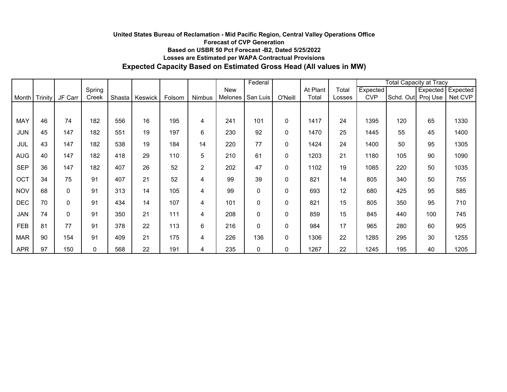# **Based on USBR 50 Pct Forecast -B2, Dated 5/25/2022 Losses are Estimated per WAPA Contractual Provisions Expected Capacity Based on Estimated Gross Head (All values in MW) United States Bureau of Reclamation - Mid Pacific Region, Central Valley Operations Office Forecast of CVP Generation**

|            |         |              |              |        |         |        |               |         | Federal      |           |          |        |            | <b>Total Capacity at Tracy</b> |          |          |  |
|------------|---------|--------------|--------------|--------|---------|--------|---------------|---------|--------------|-----------|----------|--------|------------|--------------------------------|----------|----------|--|
|            |         |              | Spring       |        |         |        |               | New     |              |           | At Plant | Total  | Expected   |                                | Expected | Expected |  |
| Month      | Trinity | JF Carr      | Creek        | Shasta | Keswick | Folsom | <b>Nimbus</b> | Melones | San Luis     | O'Neill   | Total    | Losses | <b>CVP</b> | Schd. Out                      | Proj Use | Net CVP  |  |
|            |         |              |              |        |         |        |               |         |              |           |          |        |            |                                |          |          |  |
| <b>MAY</b> | 46      | 74           | 182          | 556    | 16      | 195    | 4             | 241     | 101          | 0         | 1417     | 24     | 1395       | 120                            | 65       | 1330     |  |
| <b>JUN</b> | 45      | 147          | 182          | 551    | 19      | 197    | 6             | 230     | 92           | 0         | 1470     | 25     | 1445       | 55                             | 45       | 1400     |  |
| JUL        | 43      | 147          | 182          | 538    | 19      | 184    | 14            | 220     | 77           | 0         | 1424     | 24     | 1400       | 50                             | 95       | 1305     |  |
| <b>AUG</b> | 40      | 147          | 182          | 418    | 29      | 110    | 5             | 210     | 61           | 0         | 1203     | 21     | 1180       | 105                            | 90       | 1090     |  |
| <b>SEP</b> | 36      | 147          | 182          | 407    | 26      | 52     | 2             | 202     | 47           | 0         | 1102     | 19     | 1085       | 220                            | 50       | 1035     |  |
| OCT        | 34      | 75           | 91           | 407    | 21      | 52     | 4             | 99      | 39           | 0         | 821      | 14     | 805        | 340                            | 50       | 755      |  |
| <b>NOV</b> | 68      | $\mathbf{0}$ | 91           | 313    | 14      | 105    | 4             | 99      | $\mathbf 0$  | 0         | 693      | 12     | 680        | 425                            | 95       | 585      |  |
| <b>DEC</b> | 70      | $\Omega$     | 91           | 434    | 14      | 107    | 4             | 101     | 0            | 0         | 821      | 15     | 805        | 350                            | 95       | 710      |  |
| JAN        | 74      | $\Omega$     | 91           | 350    | 21      | 111    | 4             | 208     | 0            | 0         | 859      | 15     | 845        | 440                            | 100      | 745      |  |
| <b>FEB</b> | 81      | 77           | 91           | 378    | 22      | 113    | 6             | 216     | $\mathbf{0}$ | 0         | 984      | 17     | 965        | 280                            | 60       | 905      |  |
| <b>MAR</b> | 90      | 154          | 91           | 409    | 21      | 175    | 4             | 226     | 136          | $\pmb{0}$ | 1306     | 22     | 1285       | 295                            | 30       | 1255     |  |
| <b>APR</b> | 97      | 150          | $\mathbf{0}$ | 568    | 22      | 191    | 4             | 235     | 0            | 0         | 1267     | 22     | 1245       | 195                            | 40       | 1205     |  |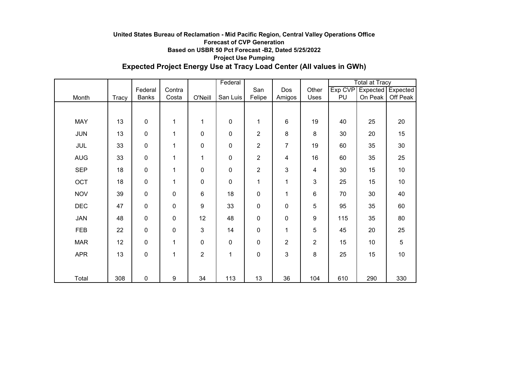### **Expected Project Energy Use at Tracy Load Center (All values in GWh) United States Bureau of Reclamation - Mid Pacific Region, Central Valley Operations Office Forecast of CVP Generation Based on USBR 50 Pct Forecast -B2, Dated 5/25/2022 Project Use Pumping**

|            |       |              |              | Federal          |           |                |                |                | <b>Total at Tracy</b> |         |                   |
|------------|-------|--------------|--------------|------------------|-----------|----------------|----------------|----------------|-----------------------|---------|-------------------|
|            |       | Federal      | Contra       |                  |           | San            | Dos            | Other          | Exp CVP               |         | Expected Expected |
| Month      | Tracy | <b>Banks</b> | Costa        | O'Neill          | San Luis  | Felipe         | Amigos         | Uses           | PU                    | On Peak | Off Peak          |
|            |       |              |              |                  |           |                |                |                |                       |         |                   |
| <b>MAY</b> | 13    | 0            | 1            | 1                | 0         | 1              | 6              | 19             | 40                    | 25      | 20                |
| <b>JUN</b> | 13    | 0            | 1            | $\pmb{0}$        | $\pmb{0}$ | $\overline{2}$ | 8              | 8              | 30                    | 20      | 15                |
| JUL        | 33    | $\mathbf 0$  | 1            | 0                | 0         | 2              | 7              | 19             | 60                    | 35      | 30                |
| <b>AUG</b> | 33    | 0            | $\mathbf 1$  | 1                | $\pmb{0}$ | 2              | 4              | 16             | 60                    | 35      | 25                |
| <b>SEP</b> | 18    | 0            | 1            | $\pmb{0}$        | $\pmb{0}$ | $\overline{c}$ | 3              | 4              | 30                    | 15      | 10                |
| OCT        | 18    | 0            | $\mathbf{1}$ | $\pmb{0}$        | 0         | 1              | 1              | 3              | 25                    | 15      | 10                |
| <b>NOV</b> | 39    | 0            | $\pmb{0}$    | 6                | 18        | 0              | 1              | 6              | 70                    | 30      | 40                |
| <b>DEC</b> | 47    | $\mathbf 0$  | $\pmb{0}$    | $\boldsymbol{9}$ | 33        | 0              | $\pmb{0}$      | 5              | 95                    | 35      | 60                |
| <b>JAN</b> | 48    | 0            | 0            | 12               | 48        | 0              | 0              | 9              | 115                   | 35      | 80                |
| FEB        | 22    | 0            | $\pmb{0}$    | 3                | 14        | 0              | 1              | 5              | 45                    | 20      | 25                |
| <b>MAR</b> | 12    | 0            | $\mathbf 1$  | 0                | $\pmb{0}$ | 0              | $\overline{c}$ | $\overline{c}$ | 15                    | 10      | 5                 |
| <b>APR</b> | 13    | $\pmb{0}$    | 1            | $\overline{c}$   | 1         | 0              | 3              | 8              | 25                    | 15      | 10                |
|            |       |              |              |                  |           |                |                |                |                       |         |                   |
| Total      | 308   | $\pmb{0}$    | 9            | 34               | 113       | 13             | 36             | 104            | 610                   | 290     | 330               |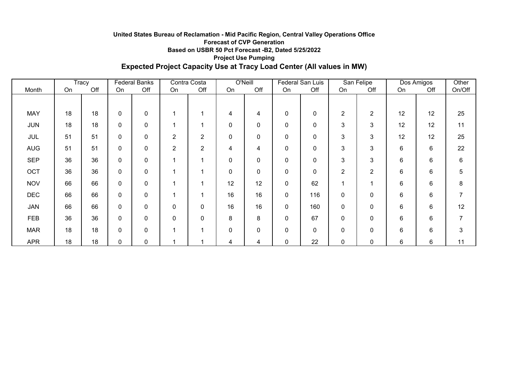### **Based on USBR 50 Pct Forecast -B2, Dated 5/25/2022 Project Use Pumping Expected Project Capacity Use at Tracy Load Center (All values in MW) United States Bureau of Reclamation - Mid Pacific Region, Central Valley Operations Office Forecast of CVP Generation**

|            |    | Tracy | <b>Federal Banks</b> |     | Contra Costa   |                | O'Neill  |             | Federal San Luis |              | San Felipe     |                | Dos Amigos |       | Other          |
|------------|----|-------|----------------------|-----|----------------|----------------|----------|-------------|------------------|--------------|----------------|----------------|------------|-------|----------------|
| Month      | On | Off   | On                   | Off | On             | Off            | On       | Off         | On               | Off          | On             | Off            | On         | Off   | On/Off         |
|            |    |       |                      |     |                |                |          |             |                  |              |                |                |            |       |                |
| <b>MAY</b> | 18 | 18    | $\mathbf 0$          | 0   |                |                | 4        | 4           | 0                | 0            | $\overline{2}$ | $\overline{2}$ | 12         | 12    | 25             |
| <b>JUN</b> | 18 | 18    | 0                    | 0   |                |                | 0        | 0           | 0                | 0            | 3              | 3              | 12         | 12    | 11             |
| <b>JUL</b> | 51 | 51    | 0                    | 0   | $\overline{c}$ | $\overline{2}$ | 0        | 0           | 0                | 0            | 3              | 3              | 12         | 12    | 25             |
| <b>AUG</b> | 51 | 51    | 0                    | 0   | $\overline{2}$ | $\overline{2}$ | 4        | 4           | 0                | 0            | 3              | 3              | 6          | 6     | 22             |
| <b>SEP</b> | 36 | 36    | $\mathbf 0$          | 0   | и              | 4              | 0        | $\mathbf 0$ | 0                | 0            | 3              | 3              | 6          | 6     | 6              |
| OCT        | 36 | 36    | 0                    | 0   |                | и              | 0        | 0           | 0                | 0            | 2              | 2              | 6          | 6     | 5              |
| <b>NOV</b> | 66 | 66    | $\mathbf{0}$         | 0   | и              | и              | 12       | 12          | 0                | 62           | 1              |                | 6          | 6     | 8              |
| <b>DEC</b> | 66 | 66    | $\Omega$             | 0   |                |                | 16       | 16          | 0                | 116          | 0              | $\mathbf 0$    | 6          | 6     | $\overline{7}$ |
| <b>JAN</b> | 66 | 66    | $\Omega$             | 0   | 0              | 0              | 16       | 16          | 0                | 160          | 0              | $\mathbf 0$    | 6          | $6\,$ | 12             |
| <b>FEB</b> | 36 | 36    | $\mathbf 0$          | 0   | 0              | 0              | 8        | 8           | 0                | 67           | 0              | $\mathbf 0$    | 6          | 6     | $\overline{7}$ |
| <b>MAR</b> | 18 | 18    | $\mathbf 0$          | 0   |                |                | $\Omega$ | 0           | $\pmb{0}$        | $\mathbf{0}$ | $\Omega$       | 0              | 6          | 6     | 3              |
| <b>APR</b> | 18 | 18    | $\mathbf{0}$         | 0   | 1              | ٠              | 4        | 4           | 0                | 22           | $\Omega$       | 0              | 6          | 6     | 11             |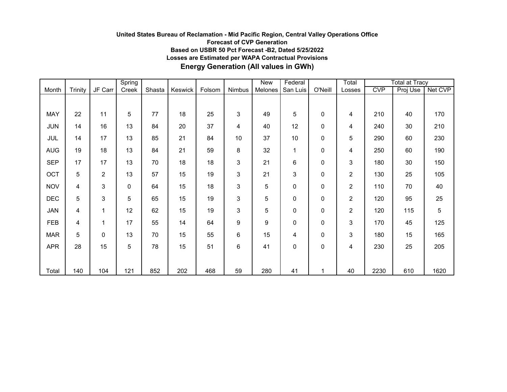# **United States Bureau of Reclamation - Mid Pacific Region, Central Valley Operations Office Forecast of CVP Generation Based on USBR 50 Pct Forecast -B2, Dated 5/25/2022 Losses are Estimated per WAPA Contractual Provisions Energy Generation (All values in GWh)**

|            |                |                | Spring    |        |         |        |              | New     | Federal  |             | Total          |            | <b>Total at Tracy</b> |         |
|------------|----------------|----------------|-----------|--------|---------|--------|--------------|---------|----------|-------------|----------------|------------|-----------------------|---------|
| Month      | <b>Trinity</b> | JF Carr        | Creek     | Shasta | Keswick | Folsom | Nimbus       | Melones | San Luis | O'Neill     | Losses         | <b>CVP</b> | Proj Use              | Net CVP |
|            |                |                |           |        |         |        |              |         |          |             |                |            |                       |         |
| <b>MAY</b> | 22             | 11             | 5         | 77     | 18      | 25     | 3            | 49      | 5        | 0           | 4              | 210        | 40                    | 170     |
| <b>JUN</b> | 14             | 16             | 13        | 84     | 20      | 37     | 4            | 40      | 12       | 0           | 4              | 240        | 30                    | 210     |
| JUL        | 14             | 17             | 13        | 85     | 21      | 84     | 10           | 37      | 10       | 0           | 5              | 290        | 60                    | 230     |
| <b>AUG</b> | 19             | 18             | 13        | 84     | 21      | 59     | 8            | 32      | 1        | 0           | 4              | 250        | 60                    | 190     |
| <b>SEP</b> | 17             | 17             | 13        | 70     | 18      | 18     | 3            | 21      | 6        | 0           | 3              | 180        | 30                    | 150     |
| OCT        | 5              | $\overline{2}$ | 13        | 57     | 15      | 19     | 3            | 21      | 3        | 0           | 2              | 130        | 25                    | 105     |
| <b>NOV</b> | 4              | 3              | $\pmb{0}$ | 64     | 15      | 18     | 3            | 5       | 0        | $\mathbf 0$ | 2              | 110        | 70                    | 40      |
| <b>DEC</b> | 5              | 3              | 5         | 65     | 15      | 19     | $\mathbf{3}$ | 5       | 0        | 0           | 2              | 120        | 95                    | 25      |
| JAN        | 4              | 1              | 12        | 62     | 15      | 19     | 3            | 5       | 0        | 0           | $\overline{c}$ | 120        | 115                   | 5       |
| <b>FEB</b> | 4              | 1              | 17        | 55     | 14      | 64     | 9            | 9       | 0        | 0           | 3              | 170        | 45                    | 125     |
| <b>MAR</b> | 5              | 0              | 13        | 70     | 15      | 55     | 6            | 15      | 4        | 0           | 3              | 180        | 15                    | 165     |
| <b>APR</b> | 28             | 15             | 5         | 78     | 15      | 51     | 6            | 41      | 0        | 0           | 4              | 230        | 25                    | 205     |
|            |                |                |           |        |         |        |              |         |          |             |                |            |                       |         |
| Total      | 140            | 104            | 121       | 852    | 202     | 468    | 59           | 280     | 41       | 1           | 40             | 2230       | 610                   | 1620    |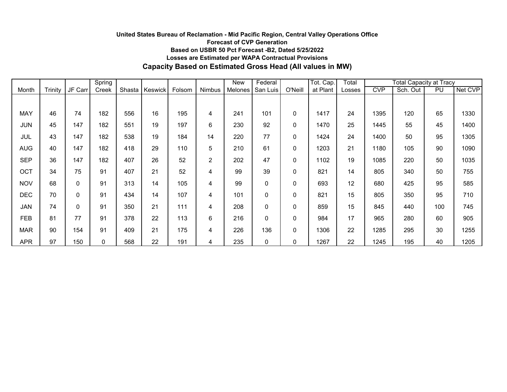# **Capacity Based on Estimated Gross Head (All values in MW) United States Bureau of Reclamation - Mid Pacific Region, Central Valley Operations Office Forecast of CVP Generation Based on USBR 50 Pct Forecast -B2, Dated 5/25/2022 Losses are Estimated per WAPA Contractual Provisions**

|            |         |             | Spring      |        |         |        |                | <b>New</b> | Federal     |          | Tot. Cap. | Total  |            | <b>Total Capacity at Tracy</b> |     |         |
|------------|---------|-------------|-------------|--------|---------|--------|----------------|------------|-------------|----------|-----------|--------|------------|--------------------------------|-----|---------|
| Month      | Trinity | JF Carr     | Creek       | Shasta | Keswick | Folsom | Nimbus         | Melones    | San Luis    | O'Neil   | at Plant  | Losses | <b>CVP</b> | Sch. Out                       | PU  | Net CVP |
|            |         |             |             |        |         |        |                |            |             |          |           |        |            |                                |     |         |
| <b>MAY</b> | 46      | 74          | 182         | 556    | 16      | 195    | 4              | 241        | 101         | $\Omega$ | 1417      | 24     | 1395       | 120                            | 65  | 1330    |
| <b>JUN</b> | 45      | 147         | 182         | 551    | 19      | 197    | 6              | 230        | 92          | 0        | 1470      | 25     | 1445       | 55                             | 45  | 1400    |
| JUL        | 43      | 147         | 182         | 538    | 19      | 184    | 14             | 220        | 77          | $\Omega$ | 1424      | 24     | 1400       | 50                             | 95  | 1305    |
| <b>AUG</b> | 40      | 147         | 182         | 418    | 29      | 110    | 5              | 210        | 61          | $\Omega$ | 1203      | 21     | 1180       | 105                            | 90  | 1090    |
| <b>SEP</b> | 36      | 147         | 182         | 407    | 26      | 52     | $\overline{2}$ | 202        | 47          | $\Omega$ | 1102      | 19     | 1085       | 220                            | 50  | 1035    |
| OCT        | 34      | 75          | 91          | 407    | 21      | 52     | 4              | 99         | 39          | $\Omega$ | 821       | 14     | 805        | 340                            | 50  | 755     |
| <b>NOV</b> | 68      | $\mathbf 0$ | 91          | 313    | 14      | 105    | 4              | 99         | $\mathbf 0$ | $\Omega$ | 693       | 12     | 680        | 425                            | 95  | 585     |
| <b>DEC</b> | 70      | 0           | 91          | 434    | 14      | 107    | 4              | 101        | 0           | $\Omega$ | 821       | 15     | 805        | 350                            | 95  | 710     |
| <b>JAN</b> | 74      | 0           | 91          | 350    | 21      | 111    | 4              | 208        | $\mathbf 0$ | 0        | 859       | 15     | 845        | 440                            | 100 | 745     |
| <b>FEB</b> | 81      | 77          | 91          | 378    | 22      | 113    | 6              | 216        | 0           | $\Omega$ | 984       | 17     | 965        | 280                            | 60  | 905     |
| <b>MAR</b> | 90      | 154         | 91          | 409    | 21      | 175    | 4              | 226        | 136         | $\Omega$ | 1306      | 22     | 1285       | 295                            | 30  | 1255    |
| <b>APR</b> | 97      | 150         | $\mathbf 0$ | 568    | 22      | 191    | 4              | 235        | 0           | 0        | 1267      | 22     | 1245       | 195                            | 40  | 1205    |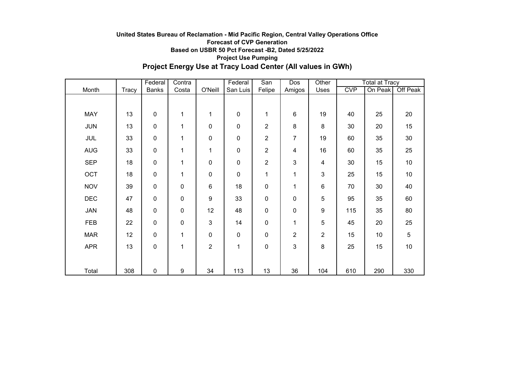### **Project Energy Use at Tracy Load Center (All values in GWh) United States Bureau of Reclamation - Mid Pacific Region, Central Valley Operations Office Forecast of CVP Generation Based on USBR 50 Pct Forecast -B2, Dated 5/25/2022 Project Use Pumping**

|            |              | Federal          | Contra       |                | Federal   | San            | Dos            | Other          |            | <b>Total at Tracy</b> |                 |  |
|------------|--------------|------------------|--------------|----------------|-----------|----------------|----------------|----------------|------------|-----------------------|-----------------|--|
| Month      | <b>Tracy</b> | <b>Banks</b>     | Costa        | O'Neill        | San Luis  | Felipe         | Amigos         | Uses           | <b>CVP</b> | On Peak               | <b>Off Peak</b> |  |
|            |              |                  |              |                |           |                |                |                |            |                       |                 |  |
| MAY        | 13           | $\mathbf 0$      | $\mathbf{1}$ | $\mathbf{1}$   | $\pmb{0}$ | 1              | 6              | 19             | 40         | 25                    | 20              |  |
| <b>JUN</b> | 13           | $\mathbf 0$      | 1            | $\mathbf 0$    | 0         | $\overline{c}$ | 8              | 8              | 30         | 20                    | 15              |  |
| JUL        | 33           | $\mathbf 0$      | 1            | $\mathbf 0$    | 0         | $\overline{c}$ | $\overline{7}$ | 19             | 60         | 35                    | 30              |  |
| <b>AUG</b> | 33           | $\boldsymbol{0}$ | 1            | 1              | 0         | 2              | 4              | 16             | 60         | 35                    | 25              |  |
| <b>SEP</b> | 18           | $\mathbf 0$      | 1            | $\mathbf 0$    | 0         | 2              | 3              | 4              | 30         | 15                    | 10              |  |
| OCT        | 18           | $\mathbf 0$      | 1            | $\mathbf 0$    | 0         | 1              | 1              | 3              | 25         | 15                    | 10              |  |
| <b>NOV</b> | 39           | $\mathbf 0$      | $\pmb{0}$    | $\,6$          | 18        | 0              | 1              | $\,6$          | 70         | 30                    | 40              |  |
| <b>DEC</b> | 47           | $\mathbf 0$      | $\pmb{0}$    | 9              | 33        | 0              | 0              | 5              | 95         | 35                    | 60              |  |
| JAN        | 48           | $\mathbf 0$      | $\pmb{0}$    | 12             | 48        | 0              | 0              | 9              | 115        | 35                    | 80              |  |
| <b>FEB</b> | 22           | $\mathbf 0$      | $\pmb{0}$    | 3              | 14        | 0              | $\mathbf 1$    | 5              | 45         | 20                    | 25              |  |
| <b>MAR</b> | 12           | $\mathbf 0$      | 1            | $\pmb{0}$      | 0         | $\mathbf 0$    | $\overline{c}$ | $\overline{2}$ | 15         | 10                    | 5               |  |
| <b>APR</b> | 13           | $\mathbf 0$      | 1            | $\overline{c}$ | 1         | $\pmb{0}$      | 3              | 8              | 25         | 15                    | 10              |  |
|            |              |                  |              |                |           |                |                |                |            |                       |                 |  |
| Total      | 308          | $\mathbf 0$      | 9            | 34             | 113       | 13             | 36             | 104            | 610        | 290                   | 330             |  |